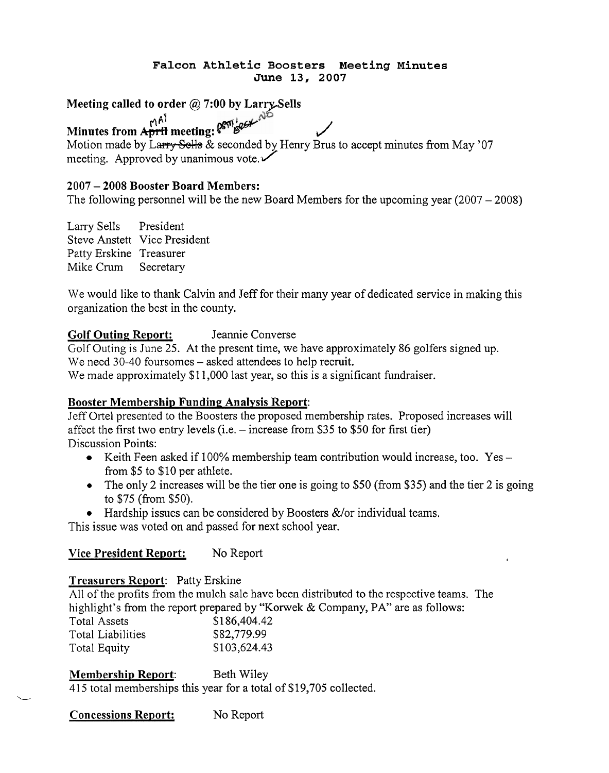#### **Falcon Athletic Boosters Meeting Minutes June 13, 2007**

**Meeting called to order** @ **7:00 by LarrpSells** 

**Minutes from April meeting:**  $\theta^{\text{em}}$   $\theta^{\text{em}}$   $\theta^{\text{em}}$   $\theta^{\text{em}}$   $\theta^{\text{em}}$   $\theta^{\text{em}}$ 

Motion made by Larry Sells  $\&$  seconded by Henry Brus to accept minutes from May '07 meeting. Approved by unanimous vote.  $\checkmark$ 

#### **<sup>2007</sup>**- **2008 Booster Board Members:**

The following personnel will be the new Board Members for the upcoming year  $(2007 - 2008)$ 

| Larry Sells             | President                    |
|-------------------------|------------------------------|
|                         | Steve Anstett Vice President |
| Patty Erskine Treasurer |                              |
| Mike Crum               | Secretary                    |

We would like to thank Calvin and Jeff for their many year of dedicated service in making this organization the best in the county.

### **Golf Outing Report:** Jeannie Converse

Golf Outing is June 25. At the present time, we have approximately 86 golfers signed up. We need 30-40 foursomes – asked attendees to help recruit. We made approximately \$11,000 last year, so this is a significant fundraiser.

#### **Booster Membership Funding Analysis Report:**

Jeff Ortel presented to the Boosters the proposed membership rates. Proposed increases will affect the first two entry levels  $(i.e. - increase from $35 to $50 for first tier)$ Discussion Points:

- Keith Feen asked if 100% membership team contribution would increase, too. Yes  $$ from \$5 to \$10 per athlete.
- The only 2 increases will be the tier one is going to \$50 (from \$35) and the tier 2 is going  $\bullet$ to \$75 (from \$50).
- $\bullet$  Hardship issues can be considered by Boosters &/or individual teams.

This issue was voted on and passed for next school year.

#### **Vice President Report:** No Report

#### **Treasurers Report:** Patty Erskine

All of the profits from the mulch sale have been distributed to the respective teams. The highlight's from the report prepared by "Korwek & Company, PA" are as follows: Total Assets \$186,404.42 Total Liabilities \$82,779.99 Total Equity **\$103,624.43** 

| <b>Membership Report:</b> | Beth Wiley |
|---------------------------|------------|
|---------------------------|------------|

**Membership Report:** Beth Wiley<br>415 total memberships this year for a total of \$19,705 collected.

| <b>Concessions Report:</b> | No Report |
|----------------------------|-----------|
|----------------------------|-----------|